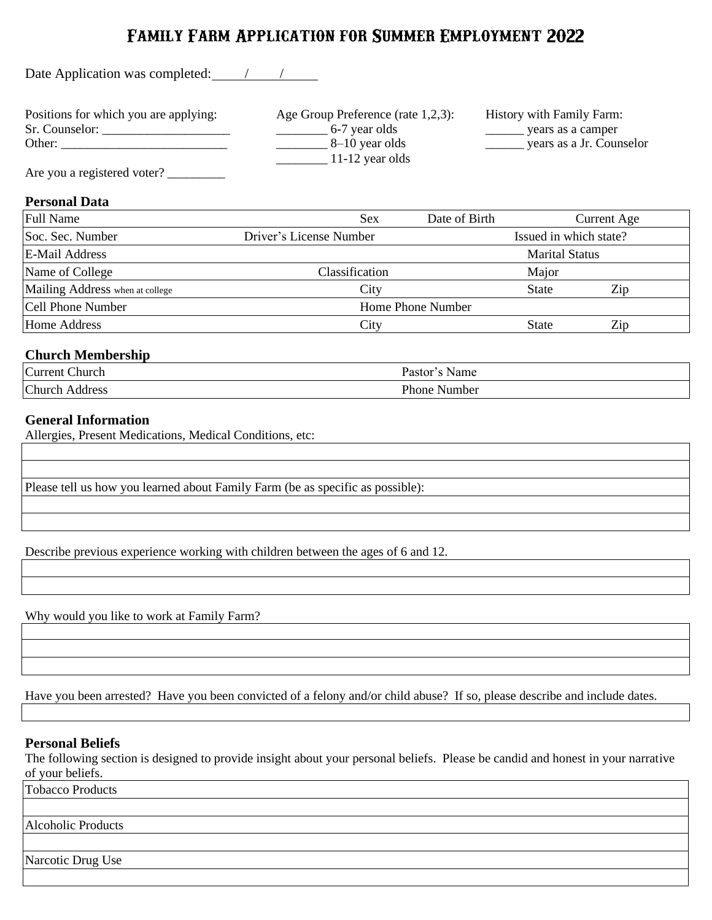# **Family Farm Application for Summer Employment 2022**

Date Application was completed: /////

Positions for which you are applying: Age Group Preference (rate 1,2,3): History with Family Farm:

Sr. Counselor: \_\_\_\_\_\_\_\_\_\_\_\_\_\_\_\_\_\_\_\_ \_\_\_\_\_\_\_\_ 6-7 year olds \_\_\_\_\_\_ years as a camper Other: \_\_\_\_\_\_\_\_\_\_\_\_\_\_\_\_\_\_\_\_\_\_\_\_\_\_ \_\_\_\_\_\_\_\_ 8–10 year olds \_\_\_\_\_\_ years as a Jr. Counselor  $\frac{11-12 \text{ year old}}{2}$ 

Are you a registered voter?

# **Personal Data**

| <b>Full Name</b>                | <b>Sex</b>              | Date of Birth          |                       | <b>Current Age</b> |
|---------------------------------|-------------------------|------------------------|-----------------------|--------------------|
| Soc. Sec. Number                | Driver's License Number | Issued in which state? |                       |                    |
| <b>E-Mail Address</b>           |                         |                        | <b>Marital Status</b> |                    |
| Name of College                 | Classification          |                        | Major                 |                    |
| Mailing Address when at college | City                    |                        | <b>State</b>          | Zip                |
| <b>Cell Phone Number</b>        | Home Phone Number       |                        |                       |                    |
| <b>Home Address</b>             | City                    |                        | <b>State</b>          | Zip                |

# **Church Membership**

| $\sim$<br>:hurch<br>urrent | Name<br>$J = 1$ |
|----------------------------|-----------------|
| $Church$ .                 | Phone           |
| ddress.                    | Number          |
|                            |                 |

# **General Information**

Allergies, Present Medications, Medical Conditions, etc:

Please tell us how you learned about Family Farm (be as specific as possible):

Describe previous experience working with children between the ages of 6 and 12.

Why would you like to work at Family Farm?

Have you been arrested? Have you been convicted of a felony and/or child abuse? If so, please describe and include dates.

#### **Personal Beliefs**

The following section is designed to provide insight about your personal beliefs. Please be candid and honest in your narrative of your beliefs.

Tobacco Products

Alcoholic Products

Narcotic Drug Use